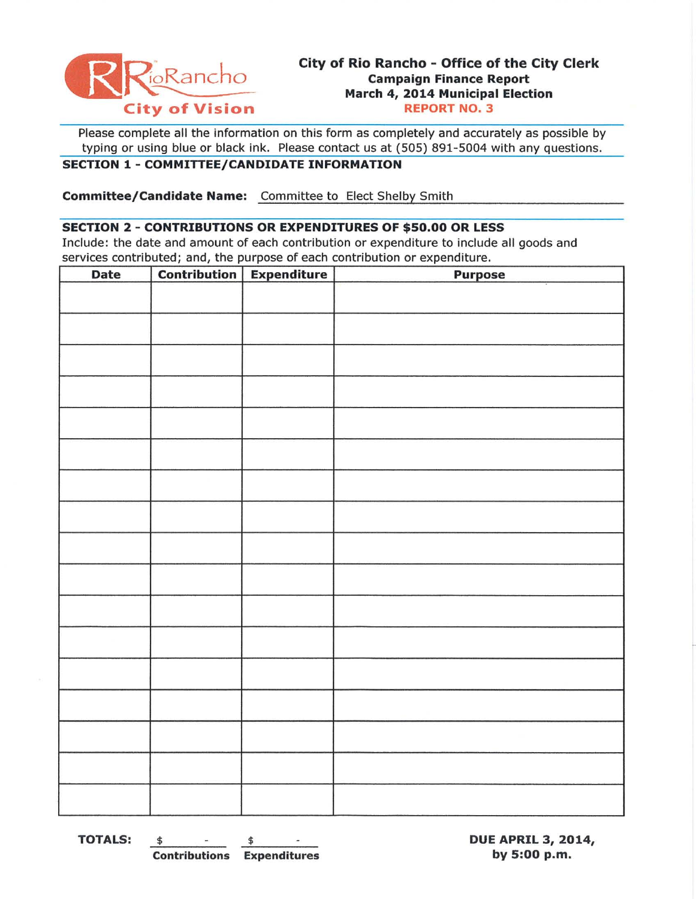

# **City of Rio Rancho - Office of the City Clerk**  OR~ncho **Campaign Finance Report March 4, 2014 Municipal Election**

Please complete all the information on this form as completely and accurately as possible by typing or using blue or black ink. Please contact us at (505) 891-5004 with any questions.

### **SECTION 1 - COMMITTEE/CANDIDATE INFORMATION**

**Committee/Candidate Name:** Committee to Elect Shelby Smith

#### **SECTION 2 - CONTRIBUTIONS OR EXPENDITURES OF \$50.00 OR LESS**

Include: the date and amount of each contribution or expenditure to include all goods and services contributed; and, the purpose of each contribution or expenditure.

| Date | Contribution   Expenditure | <b>Purpose</b> |
|------|----------------------------|----------------|
|      |                            |                |
|      |                            |                |
|      |                            |                |
|      |                            |                |
|      |                            |                |
|      |                            |                |
|      |                            |                |
|      |                            |                |
|      |                            |                |
|      |                            |                |
|      |                            |                |
|      |                            |                |
|      |                            |                |
|      |                            |                |
|      |                            |                |
|      |                            |                |
|      |                            |                |
|      |                            |                |

**TOTALS:** <u>\$ \$ DUE APRIL 3, 2014,</u> **Contributions Expenditures by 5:00** p.m.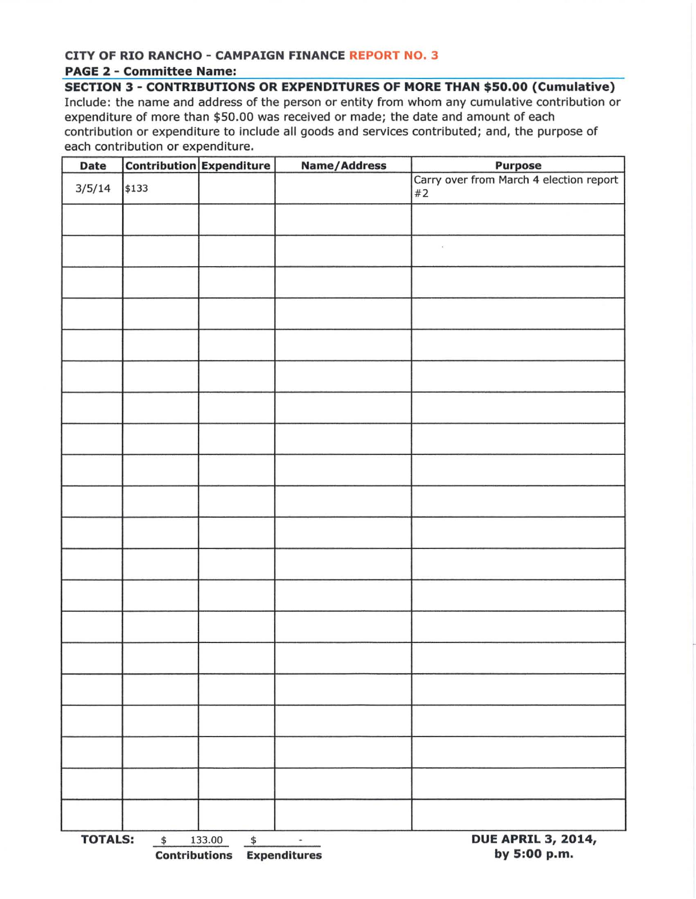#### **CITY OF RIO RANCHO - CAMPAIGN FINANCE REPORT NO.3 PAGE 2 - Committee Name:**

**SECTION 3 - CONTRIBUTIONS OR EXPENDITURES OF MORE THAN \$50.00 (Cumulative)**  Include: the name and address of the person or entity from whom any cumulative contribution or expenditure of more than \$50.00 was received or made; the date and amount of each contribution or expenditure to include all goods and services contributed; and, the purpose of each contribution or expenditure.

| Date                        |       | <b>Contribution Expenditure</b>                             | <b>Name/Address</b> | <b>Purpose</b>                                |  |  |
|-----------------------------|-------|-------------------------------------------------------------|---------------------|-----------------------------------------------|--|--|
| 3/5/14                      | \$133 |                                                             |                     | Carry over from March 4 election report<br>#2 |  |  |
|                             |       |                                                             |                     |                                               |  |  |
|                             |       |                                                             |                     |                                               |  |  |
|                             |       |                                                             |                     |                                               |  |  |
|                             |       |                                                             |                     |                                               |  |  |
|                             |       |                                                             |                     |                                               |  |  |
|                             |       |                                                             |                     |                                               |  |  |
|                             |       |                                                             |                     |                                               |  |  |
|                             |       |                                                             |                     |                                               |  |  |
|                             |       |                                                             |                     |                                               |  |  |
|                             |       |                                                             |                     |                                               |  |  |
|                             |       |                                                             |                     |                                               |  |  |
|                             |       |                                                             |                     |                                               |  |  |
|                             |       |                                                             |                     |                                               |  |  |
|                             |       |                                                             |                     |                                               |  |  |
|                             |       |                                                             |                     |                                               |  |  |
|                             |       |                                                             |                     |                                               |  |  |
|                             |       |                                                             |                     |                                               |  |  |
|                             |       |                                                             |                     |                                               |  |  |
|                             |       |                                                             |                     |                                               |  |  |
|                             |       |                                                             |                     |                                               |  |  |
| <b>TOTALS:</b><br>$\,$ $\,$ |       | 133.00<br>$\spadesuit$<br><b>Contributions Expenditures</b> | $\bullet$           | <b>DUE APRIL 3, 2014,</b><br>by 5:00 p.m.     |  |  |